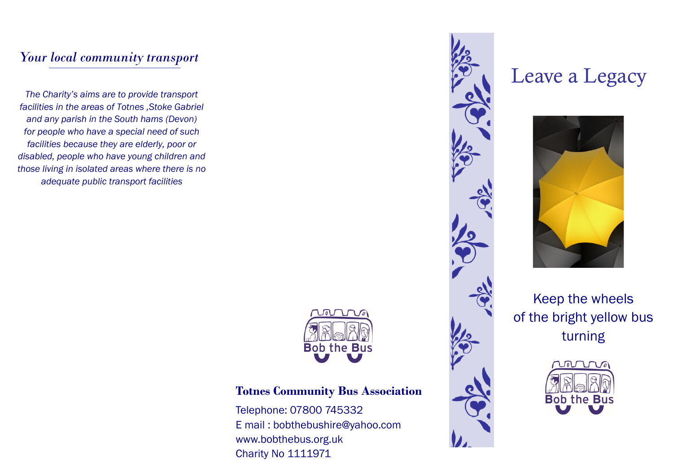### *Your local community transport*

*The Charity's aims are to provide transport facilities in the areas of Totnes ,Stoke Gabriel and any parish in the South hams (Devon) for people who have a special need of such facilities because they are elderly, poor or disabled, people who have young children and those living in isolated areas where there is no adequate public transport facilities*



### **Totnes Community Bus Association**

Telephone: 07800 745332 E mail : bobthebushire@yahoo.com www.bobthebus.org.uk Charity No 1111971



# Leave a Legacy



Keep the wheels of the bright yellow bus turning